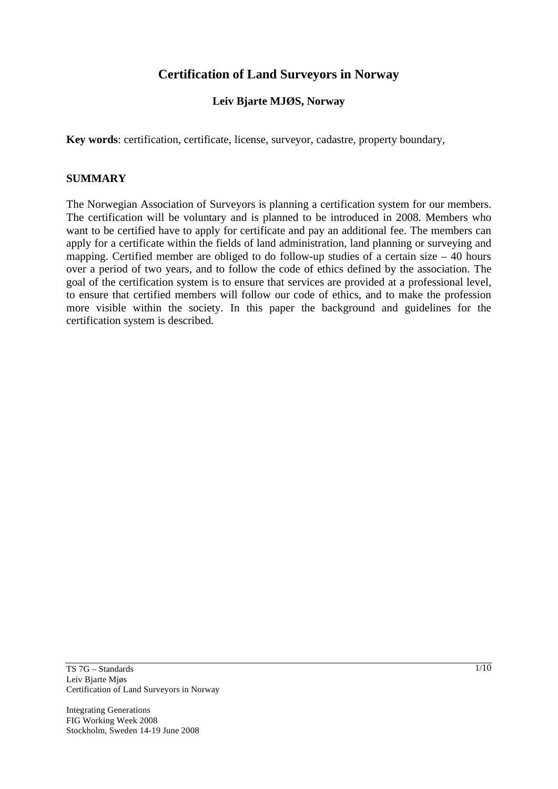# **Certification of Land Surveyors in Norway**

# **Leiv Bjarte MJØS, Norway**

**Key words**: certification, certificate, license, surveyor, cadastre, property boundary,

#### **SUMMARY**

The Norwegian Association of Surveyors is planning a certification system for our members. The certification will be voluntary and is planned to be introduced in 2008. Members who want to be certified have to apply for certificate and pay an additional fee. The members can apply for a certificate within the fields of land administration, land planning or surveying and mapping. Certified member are obliged to do follow-up studies of a certain size – 40 hours over a period of two years, and to follow the code of ethics defined by the association. The goal of the certification system is to ensure that services are provided at a professional level, to ensure that certified members will follow our code of ethics, and to make the profession more visible within the society. In this paper the background and guidelines for the certification system is described.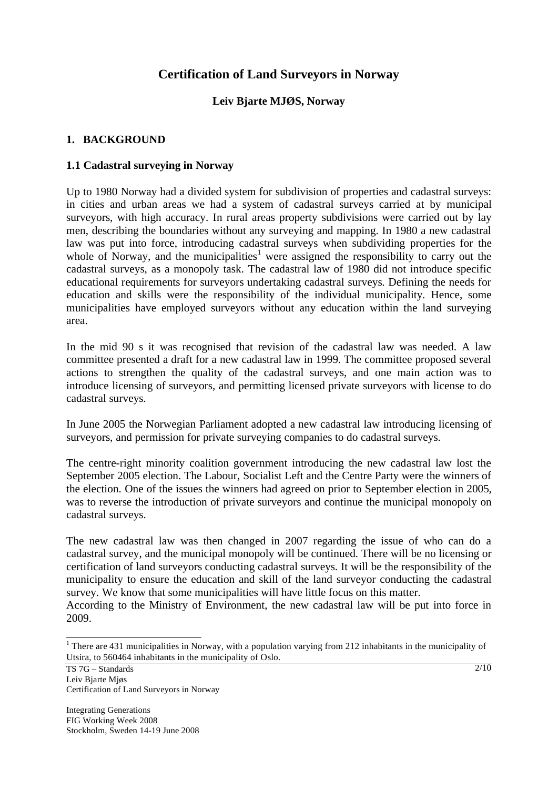# **Certification of Land Surveyors in Norway**

## **Leiv Bjarte MJØS, Norway**

## **1. BACKGROUND**

### **1.1 Cadastral surveying in Norway**

Up to 1980 Norway had a divided system for subdivision of properties and cadastral surveys: in cities and urban areas we had a system of cadastral surveys carried at by municipal surveyors, with high accuracy. In rural areas property subdivisions were carried out by lay men, describing the boundaries without any surveying and mapping. In 1980 a new cadastral law was put into force, introducing cadastral surveys when subdividing properties for the whole of Norway, and the municipalities<sup>1</sup> were assigned the responsibility to carry out the cadastral surveys, as a monopoly task. The cadastral law of 1980 did not introduce specific educational requirements for surveyors undertaking cadastral surveys. Defining the needs for education and skills were the responsibility of the individual municipality. Hence, some municipalities have employed surveyors without any education within the land surveying area.

In the mid 90 s it was recognised that revision of the cadastral law was needed. A law committee presented a draft for a new cadastral law in 1999. The committee proposed several actions to strengthen the quality of the cadastral surveys, and one main action was to introduce licensing of surveyors, and permitting licensed private surveyors with license to do cadastral surveys.

In June 2005 the Norwegian Parliament adopted a new cadastral law introducing licensing of surveyors, and permission for private surveying companies to do cadastral surveys.

The centre-right minority coalition government introducing the new cadastral law lost the September 2005 election. The Labour, Socialist Left and the Centre Party were the winners of the election. One of the issues the winners had agreed on prior to September election in 2005, was to reverse the introduction of private surveyors and continue the municipal monopoly on cadastral surveys.

The new cadastral law was then changed in 2007 regarding the issue of who can do a cadastral survey, and the municipal monopoly will be continued. There will be no licensing or certification of land surveyors conducting cadastral surveys. It will be the responsibility of the municipality to ensure the education and skill of the land surveyor conducting the cadastral survey. We know that some municipalities will have little focus on this matter.

According to the Ministry of Environment, the new cadastral law will be put into force in 2009.

<sup>&</sup>lt;sup>1</sup> There are 431 municipalities in Norway, with a population varying from 212 inhabitants in the municipality of Utsira, to 560464 inhabitants in the municipality of Oslo.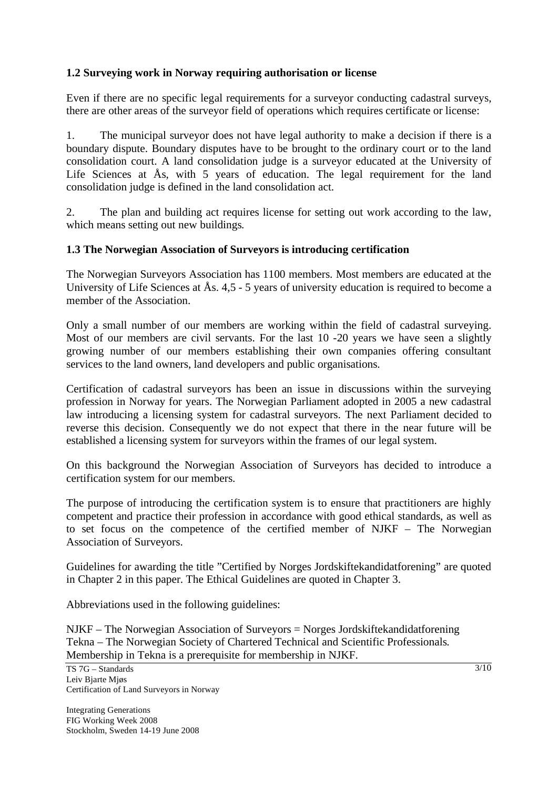# **1.2 Surveying work in Norway requiring authorisation or license**

Even if there are no specific legal requirements for a surveyor conducting cadastral surveys, there are other areas of the surveyor field of operations which requires certificate or license:

1. The municipal surveyor does not have legal authority to make a decision if there is a boundary dispute. Boundary disputes have to be brought to the ordinary court or to the land consolidation court. A land consolidation judge is a surveyor educated at the University of Life Sciences at Ås, with 5 years of education. The legal requirement for the land consolidation judge is defined in the land consolidation act.

2. The plan and building act requires license for setting out work according to the law, which means setting out new buildings.

### **1.3 The Norwegian Association of Surveyors is introducing certification**

The Norwegian Surveyors Association has 1100 members. Most members are educated at the University of Life Sciences at Ås. 4,5 - 5 years of university education is required to become a member of the Association.

Only a small number of our members are working within the field of cadastral surveying. Most of our members are civil servants. For the last 10 -20 years we have seen a slightly growing number of our members establishing their own companies offering consultant services to the land owners, land developers and public organisations.

Certification of cadastral surveyors has been an issue in discussions within the surveying profession in Norway for years. The Norwegian Parliament adopted in 2005 a new cadastral law introducing a licensing system for cadastral surveyors. The next Parliament decided to reverse this decision. Consequently we do not expect that there in the near future will be established a licensing system for surveyors within the frames of our legal system.

On this background the Norwegian Association of Surveyors has decided to introduce a certification system for our members.

The purpose of introducing the certification system is to ensure that practitioners are highly competent and practice their profession in accordance with good ethical standards, as well as to set focus on the competence of the certified member of NJKF – The Norwegian Association of Surveyors.

Guidelines for awarding the title "Certified by Norges Jordskiftekandidatforening" are quoted in Chapter 2 in this paper. The Ethical Guidelines are quoted in Chapter 3.

Abbreviations used in the following guidelines:

NJKF – The Norwegian Association of Surveyors = Norges Jordskiftekandidatforening Tekna – The Norwegian Society of Chartered Technical and Scientific Professionals. Membership in Tekna is a prerequisite for membership in NJKF.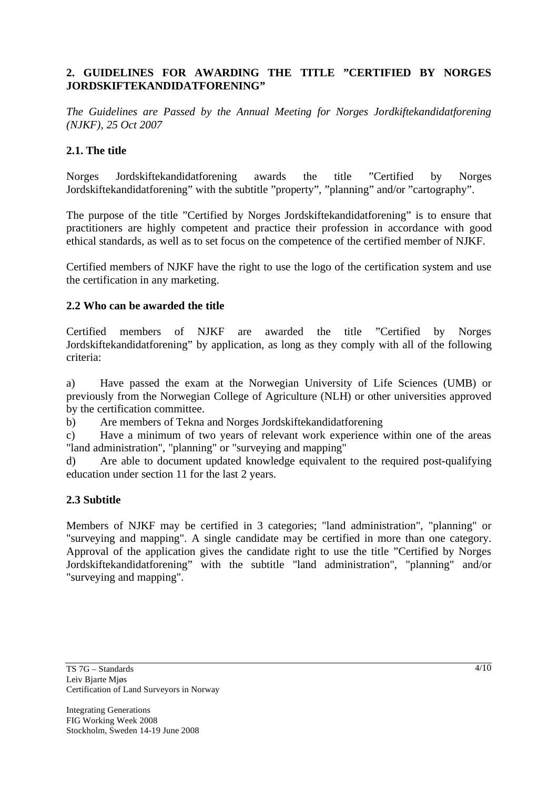# **2. GUIDELINES FOR AWARDING THE TITLE "CERTIFIED BY NORGES JORDSKIFTEKANDIDATFORENING"**

*The Guidelines are Passed by the Annual Meeting for Norges Jordkiftekandidatforening (NJKF), 25 Oct 2007* 

### **2.1. The title**

Norges Jordskiftekandidatforening awards the title "Certified by Norges Jordskiftekandidatforening" with the subtitle "property", "planning" and/or "cartography".

The purpose of the title "Certified by Norges Jordskiftekandidatforening" is to ensure that practitioners are highly competent and practice their profession in accordance with good ethical standards, as well as to set focus on the competence of the certified member of NJKF.

Certified members of NJKF have the right to use the logo of the certification system and use the certification in any marketing.

### **2.2 Who can be awarded the title**

Certified members of NJKF are awarded the title "Certified by Norges Jordskiftekandidatforening" by application, as long as they comply with all of the following criteria:

a) Have passed the exam at the Norwegian University of Life Sciences (UMB) or previously from the Norwegian College of Agriculture (NLH) or other universities approved by the certification committee.

b) Are members of Tekna and Norges Jordskiftekandidatforening

c) Have a minimum of two years of relevant work experience within one of the areas "land administration", "planning" or "surveying and mapping"

d) Are able to document updated knowledge equivalent to the required post-qualifying education under section 11 for the last 2 years.

### **2.3 Subtitle**

Members of NJKF may be certified in 3 categories; "land administration", "planning" or "surveying and mapping". A single candidate may be certified in more than one category. Approval of the application gives the candidate right to use the title "Certified by Norges Jordskiftekandidatforening" with the subtitle "land administration", "planning" and/or "surveying and mapping".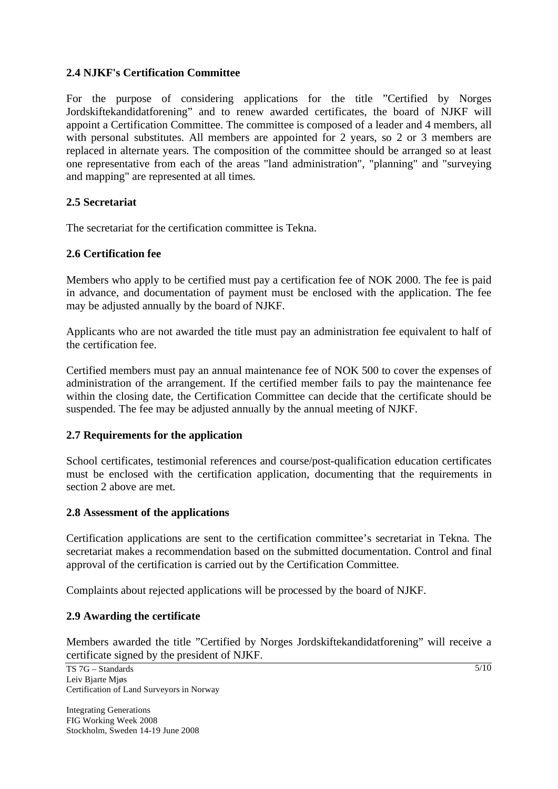#### **2.4 NJKF's Certification Committee**

For the purpose of considering applications for the title "Certified by Norges Jordskiftekandidatforening" and to renew awarded certificates, the board of NJKF will appoint a Certification Committee. The committee is composed of a leader and 4 members, all with personal substitutes. All members are appointed for 2 years, so 2 or 3 members are replaced in alternate years. The composition of the committee should be arranged so at least one representative from each of the areas "land administration", "planning" and "surveying and mapping" are represented at all times.

#### **2.5 Secretariat**

The secretariat for the certification committee is Tekna.

#### **2.6 Certification fee**

Members who apply to be certified must pay a certification fee of NOK 2000. The fee is paid in advance, and documentation of payment must be enclosed with the application. The fee may be adjusted annually by the board of NJKF.

Applicants who are not awarded the title must pay an administration fee equivalent to half of the certification fee.

Certified members must pay an annual maintenance fee of NOK 500 to cover the expenses of administration of the arrangement. If the certified member fails to pay the maintenance fee within the closing date, the Certification Committee can decide that the certificate should be suspended. The fee may be adjusted annually by the annual meeting of NJKF.

#### **2.7 Requirements for the application**

School certificates, testimonial references and course/post-qualification education certificates must be enclosed with the certification application, documenting that the requirements in section 2 above are met.

### **2.8 Assessment of the applications**

Certification applications are sent to the certification committee's secretariat in Tekna. The secretariat makes a recommendation based on the submitted documentation. Control and final approval of the certification is carried out by the Certification Committee.

Complaints about rejected applications will be processed by the board of NJKF.

### **2.9 Awarding the certificate**

Members awarded the title "Certified by Norges Jordskiftekandidatforening" will receive a certificate signed by the president of NJKF.

 $5/10$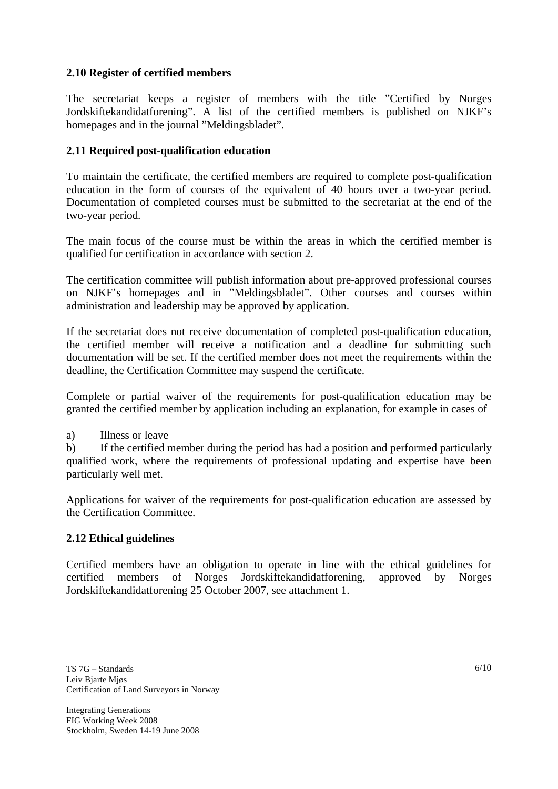## **2.10 Register of certified members**

The secretariat keeps a register of members with the title "Certified by Norges Jordskiftekandidatforening". A list of the certified members is published on NJKF's homepages and in the journal "Meldingsbladet".

## **2.11 Required post-qualification education**

To maintain the certificate, the certified members are required to complete post-qualification education in the form of courses of the equivalent of 40 hours over a two-year period. Documentation of completed courses must be submitted to the secretariat at the end of the two-year period.

The main focus of the course must be within the areas in which the certified member is qualified for certification in accordance with section 2.

The certification committee will publish information about pre-approved professional courses on NJKF's homepages and in "Meldingsbladet". Other courses and courses within administration and leadership may be approved by application.

If the secretariat does not receive documentation of completed post-qualification education, the certified member will receive a notification and a deadline for submitting such documentation will be set. If the certified member does not meet the requirements within the deadline, the Certification Committee may suspend the certificate.

Complete or partial waiver of the requirements for post-qualification education may be granted the certified member by application including an explanation, for example in cases of

a) Illness or leave

b) If the certified member during the period has had a position and performed particularly qualified work, where the requirements of professional updating and expertise have been particularly well met.

Applications for waiver of the requirements for post-qualification education are assessed by the Certification Committee.

### **2.12 Ethical guidelines**

Certified members have an obligation to operate in line with the ethical guidelines for certified members of Norges Jordskiftekandidatforening, approved by Norges Jordskiftekandidatforening 25 October 2007, see attachment 1.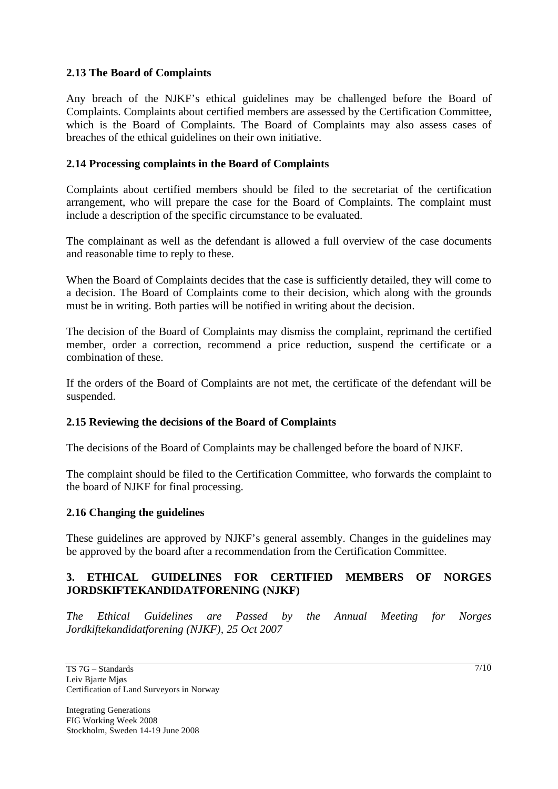#### **2.13 The Board of Complaints**

Any breach of the NJKF's ethical guidelines may be challenged before the Board of Complaints. Complaints about certified members are assessed by the Certification Committee, which is the Board of Complaints. The Board of Complaints may also assess cases of breaches of the ethical guidelines on their own initiative.

### **2.14 Processing complaints in the Board of Complaints**

Complaints about certified members should be filed to the secretariat of the certification arrangement, who will prepare the case for the Board of Complaints. The complaint must include a description of the specific circumstance to be evaluated.

The complainant as well as the defendant is allowed a full overview of the case documents and reasonable time to reply to these.

When the Board of Complaints decides that the case is sufficiently detailed, they will come to a decision. The Board of Complaints come to their decision, which along with the grounds must be in writing. Both parties will be notified in writing about the decision.

The decision of the Board of Complaints may dismiss the complaint, reprimand the certified member, order a correction, recommend a price reduction, suspend the certificate or a combination of these.

If the orders of the Board of Complaints are not met, the certificate of the defendant will be suspended.

#### **2.15 Reviewing the decisions of the Board of Complaints**

The decisions of the Board of Complaints may be challenged before the board of NJKF.

The complaint should be filed to the Certification Committee, who forwards the complaint to the board of NJKF for final processing.

#### **2.16 Changing the guidelines**

These guidelines are approved by NJKF's general assembly. Changes in the guidelines may be approved by the board after a recommendation from the Certification Committee.

### **3. ETHICAL GUIDELINES FOR CERTIFIED MEMBERS OF NORGES JORDSKIFTEKANDIDATFORENING (NJKF)**

*The Ethical Guidelines are Passed by the Annual Meeting for Norges Jordkiftekandidatforening (NJKF), 25 Oct 2007* 

 $7/10$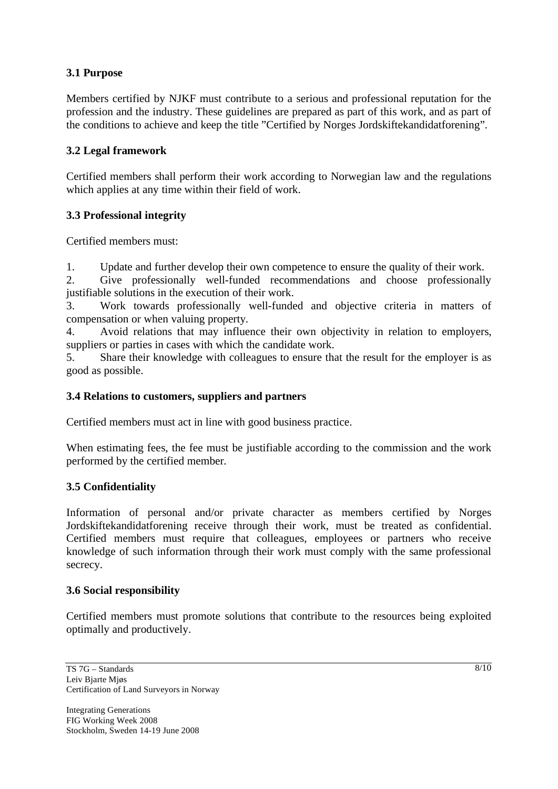## **3.1 Purpose**

Members certified by NJKF must contribute to a serious and professional reputation for the profession and the industry. These guidelines are prepared as part of this work, and as part of the conditions to achieve and keep the title "Certified by Norges Jordskiftekandidatforening".

## **3.2 Legal framework**

Certified members shall perform their work according to Norwegian law and the regulations which applies at any time within their field of work.

## **3.3 Professional integrity**

Certified members must:

1. Update and further develop their own competence to ensure the quality of their work.

2. Give professionally well-funded recommendations and choose professionally justifiable solutions in the execution of their work.

3. Work towards professionally well-funded and objective criteria in matters of compensation or when valuing property.

4. Avoid relations that may influence their own objectivity in relation to employers, suppliers or parties in cases with which the candidate work.

5. Share their knowledge with colleagues to ensure that the result for the employer is as good as possible.

#### **3.4 Relations to customers, suppliers and partners**

Certified members must act in line with good business practice.

When estimating fees, the fee must be justifiable according to the commission and the work performed by the certified member.

### **3.5 Confidentiality**

Information of personal and/or private character as members certified by Norges Jordskiftekandidatforening receive through their work, must be treated as confidential. Certified members must require that colleagues, employees or partners who receive knowledge of such information through their work must comply with the same professional secrecy.

## **3.6 Social responsibility**

Certified members must promote solutions that contribute to the resources being exploited optimally and productively.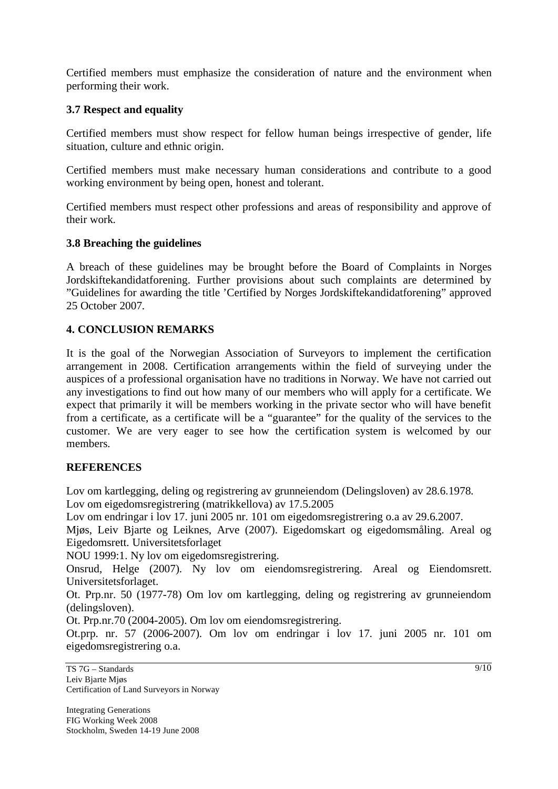Certified members must emphasize the consideration of nature and the environment when performing their work.

### **3.7 Respect and equality**

Certified members must show respect for fellow human beings irrespective of gender, life situation, culture and ethnic origin.

Certified members must make necessary human considerations and contribute to a good working environment by being open, honest and tolerant.

Certified members must respect other professions and areas of responsibility and approve of their work.

## **3.8 Breaching the guidelines**

A breach of these guidelines may be brought before the Board of Complaints in Norges Jordskiftekandidatforening. Further provisions about such complaints are determined by "Guidelines for awarding the title 'Certified by Norges Jordskiftekandidatforening" approved 25 October 2007.

## **4. CONCLUSION REMARKS**

It is the goal of the Norwegian Association of Surveyors to implement the certification arrangement in 2008. Certification arrangements within the field of surveying under the auspices of a professional organisation have no traditions in Norway. We have not carried out any investigations to find out how many of our members who will apply for a certificate. We expect that primarily it will be members working in the private sector who will have benefit from a certificate, as a certificate will be a "guarantee" for the quality of the services to the customer. We are very eager to see how the certification system is welcomed by our members.

# **REFERENCES**

Lov om kartlegging, deling og registrering av grunneiendom (Delingsloven) av 28.6.1978. Lov om eigedomsregistrering (matrikkellova) av 17.5.2005

Lov om endringar i lov 17. juni 2005 nr. 101 om eigedomsregistrering o.a av 29.6.2007.

Mjøs, Leiv Bjarte og Leiknes, Arve (2007). Eigedomskart og eigedomsmåling. Areal og Eigedomsrett. Universitetsforlaget

NOU 1999:1. Ny lov om eigedomsregistrering.

Onsrud, Helge (2007). Ny lov om eiendomsregistrering. Areal og Eiendomsrett. Universitetsforlaget.

Ot. Prp.nr. 50 (1977-78) Om lov om kartlegging, deling og registrering av grunneiendom (delingsloven).

Ot. Prp.nr.70 (2004-2005). Om lov om eiendomsregistrering.

Ot.prp. nr. 57 (2006-2007). Om lov om endringar i lov 17. juni 2005 nr. 101 om eigedomsregistrering o.a.